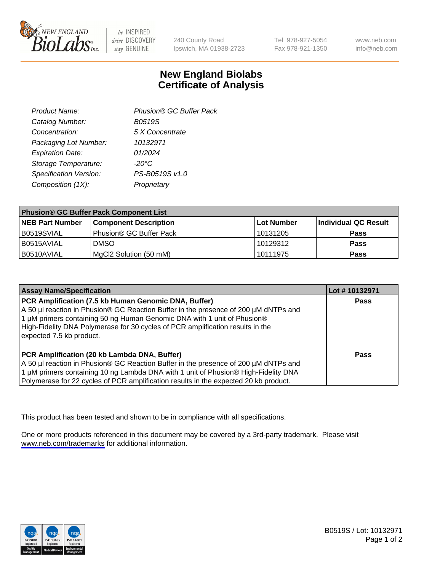

be INSPIRED drive DISCOVERY stay GENUINE

240 County Road Ipswich, MA 01938-2723 Tel 978-927-5054 Fax 978-921-1350

www.neb.com info@neb.com

## **New England Biolabs Certificate of Analysis**

| Product Name:           | Phusion® GC Buffer Pack |
|-------------------------|-------------------------|
| Catalog Number:         | <b>B0519S</b>           |
| Concentration:          | 5 X Concentrate         |
| Packaging Lot Number:   | 10132971                |
| <b>Expiration Date:</b> | 01/2024                 |
| Storage Temperature:    | $-20^{\circ}$ C         |
| Specification Version:  | PS-B0519S v1.0          |
| Composition (1X):       | Proprietary             |
|                         |                         |

| <b>Phusion® GC Buffer Pack Component List</b> |                              |                   |                      |  |
|-----------------------------------------------|------------------------------|-------------------|----------------------|--|
| <b>NEB Part Number</b>                        | <b>Component Description</b> | <b>Lot Number</b> | Individual QC Result |  |
| B0519SVIAL                                    | Phusion® GC Buffer Pack      | 10131205          | <b>Pass</b>          |  |
| I B0515AVIAL                                  | <b>DMSO</b>                  | 10129312          | <b>Pass</b>          |  |
| B0510AVIAL                                    | MgCl2 Solution (50 mM)       | 10111975          | <b>Pass</b>          |  |

| <b>Assay Name/Specification</b>                                                                                                                                                                                                                                                                                                      | Lot #10132971 |
|--------------------------------------------------------------------------------------------------------------------------------------------------------------------------------------------------------------------------------------------------------------------------------------------------------------------------------------|---------------|
| PCR Amplification (7.5 kb Human Genomic DNA, Buffer)<br>A 50 µl reaction in Phusion® GC Reaction Buffer in the presence of 200 µM dNTPs and<br>1 μM primers containing 50 ng Human Genomic DNA with 1 unit of Phusion®<br>High-Fidelity DNA Polymerase for 30 cycles of PCR amplification results in the<br>expected 7.5 kb product. | <b>Pass</b>   |
| PCR Amplification (20 kb Lambda DNA, Buffer)<br>A 50 µl reaction in Phusion® GC Reaction Buffer in the presence of 200 µM dNTPs and<br>1 μM primers containing 10 ng Lambda DNA with 1 unit of Phusion® High-Fidelity DNA<br>Polymerase for 22 cycles of PCR amplification results in the expected 20 kb product.                    | Pass          |

This product has been tested and shown to be in compliance with all specifications.

One or more products referenced in this document may be covered by a 3rd-party trademark. Please visit <www.neb.com/trademarks>for additional information.